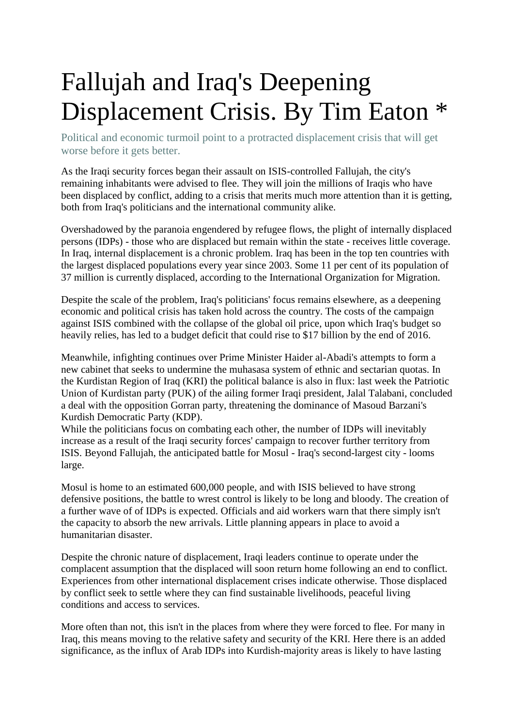## Fallujah and Iraq's Deepening Displacement Crisis. By Tim Eaton \*

Political and economic turmoil point to a protracted displacement crisis that will get worse before it gets better.

As the Iraqi security forces began their assault on ISIS-controlled Fallujah, the city's remaining inhabitants were advised to flee. They will join the millions of Iraqis who have been displaced by conflict, adding to a crisis that merits much more attention than it is getting, both from Iraq's politicians and the international community alike.

Overshadowed by the paranoia engendered by refugee flows, the plight of internally displaced persons (IDPs) - those who are displaced but remain within the state - receives little coverage. In Iraq, internal displacement is a chronic problem. Iraq has been in the top ten countries with the largest displaced populations every year since 2003. Some 11 per cent of its population of 37 million is currently displaced, according to the International Organization for Migration.

Despite the scale of the problem, Iraq's politicians' focus remains elsewhere, as a deepening economic and political crisis has taken hold across the country. The costs of the campaign against ISIS combined with the collapse of the global oil price, upon which Iraq's budget so heavily relies, has led to a budget deficit that could rise to \$17 billion by the end of 2016.

Meanwhile, infighting continues over Prime Minister Haider al-Abadi's attempts to form a new cabinet that seeks to undermine the muhasasa system of ethnic and sectarian quotas. In the Kurdistan Region of Iraq (KRI) the political balance is also in flux: last week the Patriotic Union of Kurdistan party (PUK) of the ailing former Iraqi president, Jalal Talabani, concluded a deal with the opposition Gorran party, threatening the dominance of Masoud Barzani's Kurdish Democratic Party (KDP).

While the politicians focus on combating each other, the number of IDPs will inevitably increase as a result of the Iraqi security forces' campaign to recover further territory from ISIS. Beyond Fallujah, the anticipated battle for Mosul - Iraq's second-largest city - looms large.

Mosul is home to an estimated 600,000 people, and with ISIS believed to have strong defensive positions, the battle to wrest control is likely to be long and bloody. The creation of a further wave of of IDPs is expected. Officials and aid workers warn that there simply isn't the capacity to absorb the new arrivals. Little planning appears in place to avoid a humanitarian disaster.

Despite the chronic nature of displacement, Iraqi leaders continue to operate under the complacent assumption that the displaced will soon return home following an end to conflict. Experiences from other international displacement crises indicate otherwise. Those displaced by conflict seek to settle where they can find sustainable livelihoods, peaceful living conditions and access to services.

More often than not, this isn't in the places from where they were forced to flee. For many in Iraq, this means moving to the relative safety and security of the KRI. Here there is an added significance, as the influx of Arab IDPs into Kurdish-majority areas is likely to have lasting